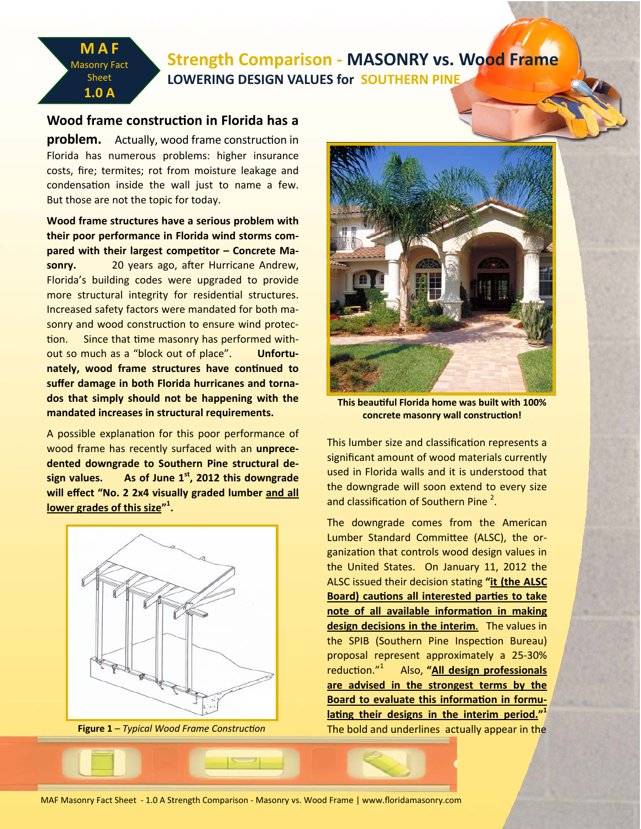# **Strength Comparison ‐ MASONRY vs. Wood Frame LOWERING DESIGN VALUES for SOUTHERN PINE**

## **Wood frame construcƟon in Florida has a**

**MAF**  Masonry Fact Sheet **1.0 A**

**problem.** Actually, wood frame construction in Florida has numerous problems: higher insurance costs, fire; termites; rot from moisture leakage and condensation inside the wall just to name a few. But those are not the topic for today.

**Wood frame structures have a serious problem with their poor performance in Florida wind storms com‐ pared** with their largest competitor – Concrete Masonry. 20 years ago, after Hurricane Andrew, Florida's building codes were upgraded to provide more structural integrity for residential structures. Increased safety factors were mandated for both ma‐ sonry and wood construction to ensure wind protection. Since that time masonry has performed without so much as a "block out of place". **Unfortu‐ nately, wood frame structures have continued to suffer damage in both Florida hurricanes and torna‐ dos that simply should not be happening with the mandated increases in structural requirements.** 

A possible explanation for this poor performance of wood frame has recently surfaced with an **unprece‐ dented downgrade to Southern Pine structural de‐ sign values. As of June 1st, 2012 this downgrade will effect "No. 2 2x4 visually graded lumber and all lower grades of this size"<sup>1</sup> .** 



**Figure 1** – *Typical Wood Frame Construction* 



**This beauƟful Florida home was built with 100% concrete masonry wall construcƟon!**

This lumber size and classification represents a significant amount of wood materials currently used in Florida walls and it is understood that the downgrade will soon extend to every size and classification of Southern Pine  $^2$ .

The downgrade comes from the American Lumber Standard Committee (ALSC), the organization that controls wood design values in the United States. On January 11, 2012 the ALSC issued their decision staƟng **"it (the ALSC** *Board)**cautions* **all interested parties to take note** of all available information in making **design decisions in the interim**. The values in the SPIB (Southern Pine Inspection Bureau) proposal represent approximately a 25‐30% reduction."<sup>1</sup> Also, **"All design professionals are advised in the strongest terms by the Board to evaluate this information** in **formu***lating their designs in the interim period."* The bold and underlines actually appear in the

MAF Masonry Fact Sheet ‐ 1.0 A Strength Comparison ‐ Masonry vs. Wood Frame | www.floridamasonry.com